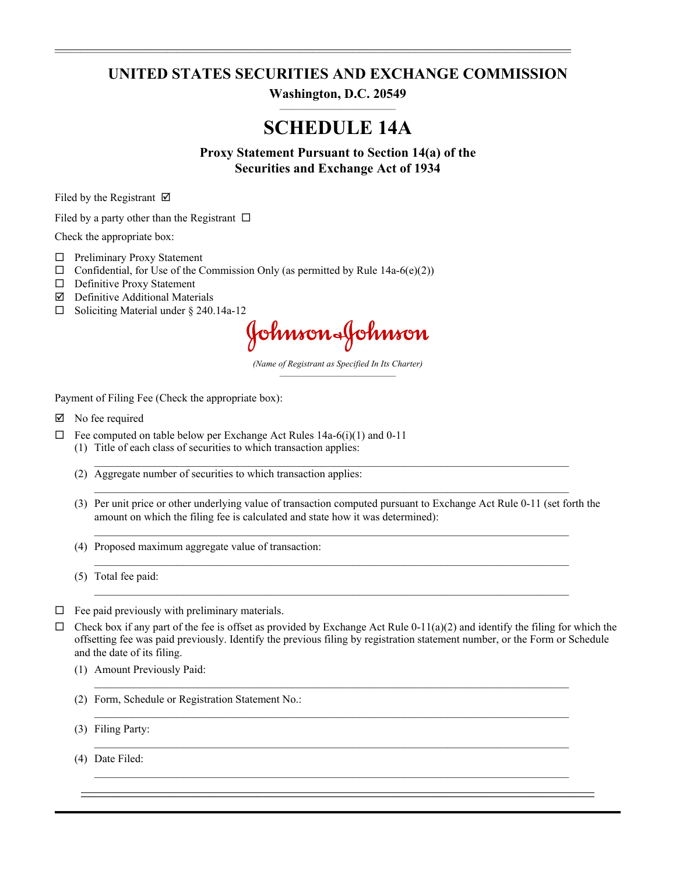## **UNITED STATES SECURITIES AND EXCHANGE COMMISSION**

**\_\_\_\_\_\_\_\_\_\_\_\_\_\_\_\_\_\_\_\_\_\_\_\_\_\_\_\_\_\_\_\_\_\_\_\_\_\_\_\_\_\_\_\_\_\_\_\_\_\_\_\_\_\_\_\_\_\_\_\_\_\_\_\_\_\_\_\_\_\_\_\_\_\_\_\_\_\_\_\_\_\_\_\_\_\_\_\_\_\_\_\_\_\_\_\_\_\_\_\_\_\_\_\_\_\_\_\_\_\_\_\_\_\_\_\_\_\_\_\_\_\_\_\_\_\_\_\_\_\_\_\_\_\_\_\_\_\_\_\_\_\_\_\_\_\_\_\_\_\_\_\_\_\_\_\_**

**Washington, D.C. 20549**  $\mathcal{L}_\text{max}$ 

# **SCHEDULE 14A**

**Proxy Statement Pursuant to Section 14(a) of the Securities and Exchange Act of 1934**

Filed by the Registrant  $\boxtimes$ 

Filed by a party other than the Registrant  $\Box$ 

Check the appropriate box:

- $\Box$  Preliminary Proxy Statement
- $\Box$  Confidential, for Use of the Commission Only (as permitted by Rule 14a-6(e)(2))
- $\square$  Definitive Proxy Statement
- $\nabla$  Definitive Additional Materials
- $\Box$  Soliciting Material under § 240.14a-12

Johnson-Johnson

*(Name of Registrant as Specified In Its Charter)*  $\frac{1}{2}$ 

Payment of Filing Fee (Check the appropriate box):

- $\boxtimes$  No fee required
- $\Box$  Fee computed on table below per Exchange Act Rules 14a-6(i)(1) and 0-11 (1) Title of each class of securities to which transaction applies:
	- (2) Aggregate number of securities to which transaction applies:
	- (3) Per unit price or other underlying value of transaction computed pursuant to Exchange Act Rule 0-11 (set forth the amount on which the filing fee is calculated and state how it was determined):

 $\mathcal{L}_\mathcal{L} = \{ \mathcal{L}_\mathcal{L} = \{ \mathcal{L}_\mathcal{L} = \{ \mathcal{L}_\mathcal{L} = \{ \mathcal{L}_\mathcal{L} = \{ \mathcal{L}_\mathcal{L} = \{ \mathcal{L}_\mathcal{L} = \{ \mathcal{L}_\mathcal{L} = \{ \mathcal{L}_\mathcal{L} = \{ \mathcal{L}_\mathcal{L} = \{ \mathcal{L}_\mathcal{L} = \{ \mathcal{L}_\mathcal{L} = \{ \mathcal{L}_\mathcal{L} = \{ \mathcal{L}_\mathcal{L} = \{ \mathcal{L}_\mathcal{$ 

 $\mathcal{L}_\mathcal{L} = \{ \mathcal{L}_\mathcal{L} = \{ \mathcal{L}_\mathcal{L} = \{ \mathcal{L}_\mathcal{L} = \{ \mathcal{L}_\mathcal{L} = \{ \mathcal{L}_\mathcal{L} = \{ \mathcal{L}_\mathcal{L} = \{ \mathcal{L}_\mathcal{L} = \{ \mathcal{L}_\mathcal{L} = \{ \mathcal{L}_\mathcal{L} = \{ \mathcal{L}_\mathcal{L} = \{ \mathcal{L}_\mathcal{L} = \{ \mathcal{L}_\mathcal{L} = \{ \mathcal{L}_\mathcal{L} = \{ \mathcal{L}_\mathcal{$ 

 $\mathcal{L}_\mathcal{L} = \{ \mathcal{L}_\mathcal{L} = \{ \mathcal{L}_\mathcal{L} = \{ \mathcal{L}_\mathcal{L} = \{ \mathcal{L}_\mathcal{L} = \{ \mathcal{L}_\mathcal{L} = \{ \mathcal{L}_\mathcal{L} = \{ \mathcal{L}_\mathcal{L} = \{ \mathcal{L}_\mathcal{L} = \{ \mathcal{L}_\mathcal{L} = \{ \mathcal{L}_\mathcal{L} = \{ \mathcal{L}_\mathcal{L} = \{ \mathcal{L}_\mathcal{L} = \{ \mathcal{L}_\mathcal{L} = \{ \mathcal{L}_\mathcal{$ 

 $\mathcal{L}_\mathcal{L} = \{ \mathcal{L}_\mathcal{L} = \{ \mathcal{L}_\mathcal{L} = \{ \mathcal{L}_\mathcal{L} = \{ \mathcal{L}_\mathcal{L} = \{ \mathcal{L}_\mathcal{L} = \{ \mathcal{L}_\mathcal{L} = \{ \mathcal{L}_\mathcal{L} = \{ \mathcal{L}_\mathcal{L} = \{ \mathcal{L}_\mathcal{L} = \{ \mathcal{L}_\mathcal{L} = \{ \mathcal{L}_\mathcal{L} = \{ \mathcal{L}_\mathcal{L} = \{ \mathcal{L}_\mathcal{L} = \{ \mathcal{L}_\mathcal{$ 

 $\mathcal{L}_\mathcal{L} = \{ \mathcal{L}_\mathcal{L} = \{ \mathcal{L}_\mathcal{L} = \{ \mathcal{L}_\mathcal{L} = \{ \mathcal{L}_\mathcal{L} = \{ \mathcal{L}_\mathcal{L} = \{ \mathcal{L}_\mathcal{L} = \{ \mathcal{L}_\mathcal{L} = \{ \mathcal{L}_\mathcal{L} = \{ \mathcal{L}_\mathcal{L} = \{ \mathcal{L}_\mathcal{L} = \{ \mathcal{L}_\mathcal{L} = \{ \mathcal{L}_\mathcal{L} = \{ \mathcal{L}_\mathcal{L} = \{ \mathcal{L}_\mathcal{$ 

(4) Proposed maximum aggregate value of transaction:

(5) Total fee paid:

- $\Box$  Fee paid previously with preliminary materials.
- $\Box$  Check box if any part of the fee is offset as provided by Exchange Act Rule 0-11(a)(2) and identify the filing for which the offsetting fee was paid previously. Identify the previous filing by registration statement number, or the Form or Schedule and the date of its filing.

 $\mathcal{L}_\text{max}$  , and the contribution of the contribution of the contribution of the contribution of the contribution of the contribution of the contribution of the contribution of the contribution of the contribution of t

 $\mathcal{L}_\text{max}$  , and the contribution of the contribution of the contribution of the contribution of the contribution of the contribution of the contribution of the contribution of the contribution of the contribution of t

 $\mathcal{L}_\mathcal{L} = \{ \mathcal{L}_\mathcal{L} = \{ \mathcal{L}_\mathcal{L} = \{ \mathcal{L}_\mathcal{L} = \{ \mathcal{L}_\mathcal{L} = \{ \mathcal{L}_\mathcal{L} = \{ \mathcal{L}_\mathcal{L} = \{ \mathcal{L}_\mathcal{L} = \{ \mathcal{L}_\mathcal{L} = \{ \mathcal{L}_\mathcal{L} = \{ \mathcal{L}_\mathcal{L} = \{ \mathcal{L}_\mathcal{L} = \{ \mathcal{L}_\mathcal{L} = \{ \mathcal{L}_\mathcal{L} = \{ \mathcal{L}_\mathcal{$  $\mathcal{L} = \{ \mathcal{L} = \{ \mathcal{L} = \{ \mathcal{L} = \{ \mathcal{L} = \{ \mathcal{L} = \{ \mathcal{L} = \{ \mathcal{L} = \{ \mathcal{L} = \{ \mathcal{L} = \{ \mathcal{L} = \{ \mathcal{L} = \{ \mathcal{L} = \{ \mathcal{L} = \{ \mathcal{L} = \{ \mathcal{L} = \{ \mathcal{L} = \{ \mathcal{L} = \{ \mathcal{L} = \{ \mathcal{L} = \{ \mathcal{L} = \{ \mathcal{L} = \{ \mathcal{L} = \{ \mathcal{L} = \{ \mathcal{$ 

- (1) Amount Previously Paid:
- (2) Form, Schedule or Registration Statement No.:
- (3) Filing Party:  $\mathcal{L}_\mathcal{L} = \{ \mathcal{L}_\mathcal{L} = \{ \mathcal{L}_\mathcal{L} = \{ \mathcal{L}_\mathcal{L} = \{ \mathcal{L}_\mathcal{L} = \{ \mathcal{L}_\mathcal{L} = \{ \mathcal{L}_\mathcal{L} = \{ \mathcal{L}_\mathcal{L} = \{ \mathcal{L}_\mathcal{L} = \{ \mathcal{L}_\mathcal{L} = \{ \mathcal{L}_\mathcal{L} = \{ \mathcal{L}_\mathcal{L} = \{ \mathcal{L}_\mathcal{L} = \{ \mathcal{L}_\mathcal{L} = \{ \mathcal{L}_\mathcal{$

(4) Date Filed: